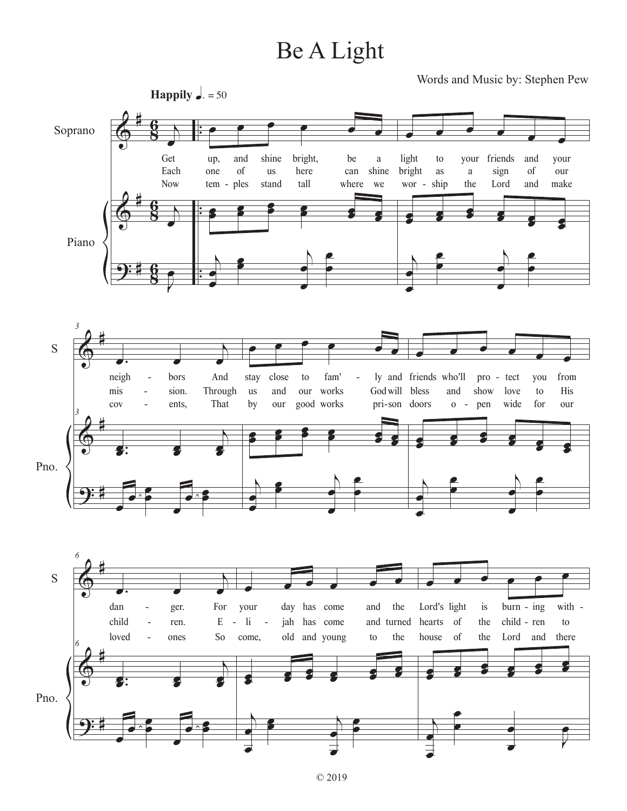## Be A Light

Words and Music by: Stephen Pew